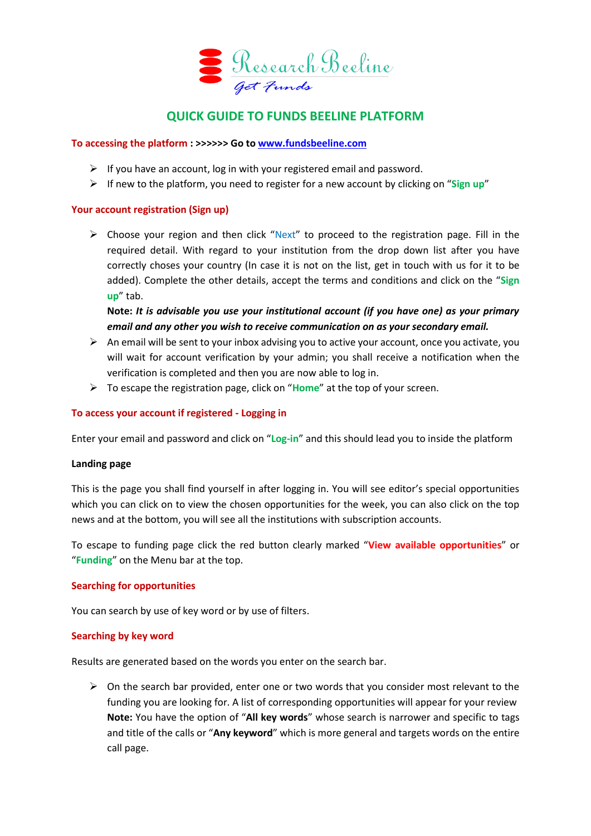

# **QUICK GUIDE TO FUNDS BEELINE PLATFORM**

## **To accessing the platform : >>>>>> Go to [www.fundsbeeline.com](http://www.fundsbeeline.com/)**

- $\triangleright$  If you have an account, log in with your registered email and password.
- ➢ If new to the platform, you need to register for a new account by clicking on "**Sign up**"

## **Your account registration (Sign up)**

➢ Choose your region and then click "Next" to proceed to the registration page. Fill in the required detail. With regard to your institution from the drop down list after you have correctly choses your country (In case it is not on the list, get in touch with us for it to be added). Complete the other details, accept the terms and conditions and click on the "**Sign up**" tab.

**Note:** *It is advisable you use your institutional account (if you have one) as your primary email and any other you wish to receive communication on as your secondary email.*

- $\triangleright$  An email will be sent to your inbox advising you to active your account, once you activate, you will wait for account verification by your admin; you shall receive a notification when the verification is completed and then you are now able to log in.
- ➢ To escape the registration page, click on "**Home**" at the top of your screen.

### **To access your account if registered - Logging in**

Enter your email and password and click on "**Log-in**" and this should lead you to inside the platform

#### **Landing page**

This is the page you shall find yourself in after logging in. You will see editor's special opportunities which you can click on to view the chosen opportunities for the week, you can also click on the top news and at the bottom, you will see all the institutions with subscription accounts.

To escape to funding page click the red button clearly marked "**View available opportunities**" or "**Funding**" on the Menu bar at the top.

## **Searching for opportunities**

You can search by use of key word or by use of filters.

## **Searching by key word**

Results are generated based on the words you enter on the search bar.

 $\triangleright$  On the search bar provided, enter one or two words that you consider most relevant to the funding you are looking for. A list of corresponding opportunities will appear for your review **Note:** You have the option of "**All key words**" whose search is narrower and specific to tags and title of the calls or "**Any keyword**" which is more general and targets words on the entire call page.